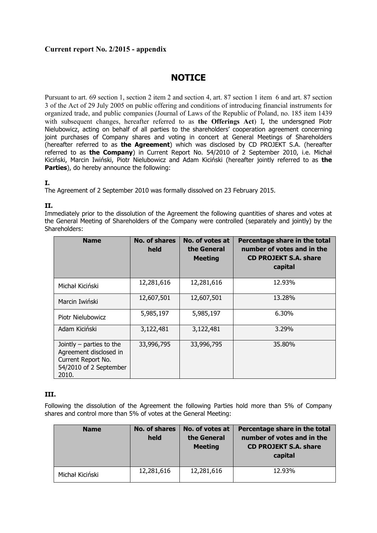## **Current report No. 2/2015 - appendix**

# **NOTICE**

Pursuant to art. 69 section 1, section 2 item 2 and section 4, art. 87 section 1 item 6 and art. 87 section 3 of the Act of 29 July 2005 on public offering and conditions of introducing financial instruments for organized trade, and public companies (Journal of Laws of the Republic of Poland, no. 185 item 1439 with subsequent changes, hereafter referred to as **the Offerings Act**) I, the undersgned Piotr Nielubowicz, acting on behalf of all parties to the shareholders' cooperation agreement concerning joint purchases of Company shares and voting in concert at General Meetings of Shareholders (hereafter referred to as **the Agreement**) which was disclosed by CD PROJEKT S.A. (hereafter referred to as **the Company**) in Current Report No. 54/2010 of 2 September 2010, i.e. Michał Kiciński, Marcin Iwiński, Piotr Nielubowicz and Adam Kiciński (hereafter jointly referred to as **the Parties**), do hereby announce the following:

### **I.**

The Agreement of 2 September 2010 was formally dissolved on 23 February 2015.

### **II.**

Immediately prior to the dissolution of the Agreement the following quantities of shares and votes at the General Meeting of Shareholders of the Company were controlled (separately and jointly) by the Shareholders:

| <b>Name</b>                                                                                                   | No. of shares<br>held | No. of votes at<br>the General<br><b>Meeting</b> | Percentage share in the total<br>number of votes and in the<br><b>CD PROJEKT S.A. share</b><br>capital |
|---------------------------------------------------------------------------------------------------------------|-----------------------|--------------------------------------------------|--------------------------------------------------------------------------------------------------------|
| Michał Kiciński                                                                                               | 12,281,616            | 12,281,616                                       | 12.93%                                                                                                 |
| Marcin Iwiński                                                                                                | 12,607,501            | 12,607,501                                       | 13.28%                                                                                                 |
| Piotr Nielubowicz                                                                                             | 5,985,197             | 5,985,197                                        | 6.30%                                                                                                  |
| Adam Kiciński                                                                                                 | 3,122,481             | 3,122,481                                        | 3.29%                                                                                                  |
| Jointly $-$ parties to the<br>Agreement disclosed in<br>Current Report No.<br>54/2010 of 2 September<br>2010. | 33,996,795            | 33,996,795                                       | 35.80%                                                                                                 |

### **III.**

Following the dissolution of the Agreement the following Parties hold more than 5% of Company shares and control more than 5% of votes at the General Meeting:

| <b>Name</b>     | No. of shares<br>held | No. of votes at<br>the General<br><b>Meeting</b> | Percentage share in the total<br>number of votes and in the<br><b>CD PROJEKT S.A. share</b><br>capital |
|-----------------|-----------------------|--------------------------------------------------|--------------------------------------------------------------------------------------------------------|
| Michał Kiciński | 12,281,616            | 12,281,616                                       | 12.93%                                                                                                 |